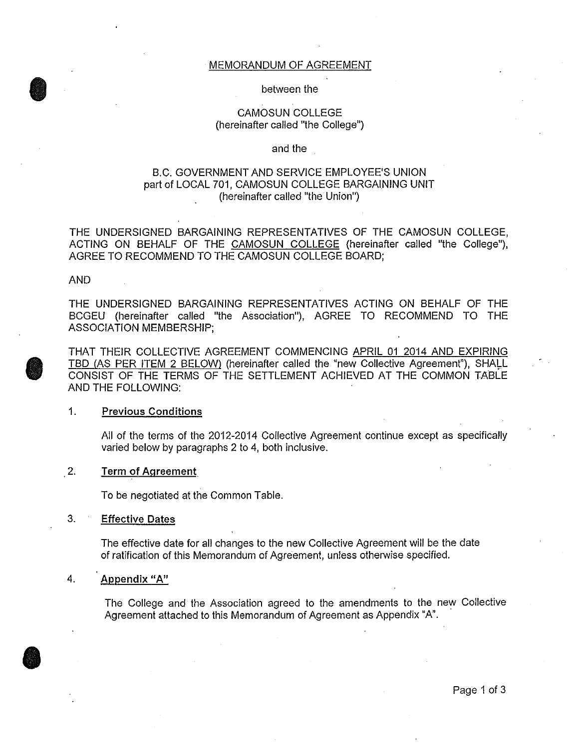#### MEMORANDUM OF AGREEMENT

#### between the

#### CAMOSUN COLLEGE (hereinafter called "the College")

#### and the

#### B.C. GOVERNMENT AND SERVICE EMPLOYEE'S UNION part of LOCAL 701, CAMOSUN COLLEGE BARGAINING UNIT (hereinafter called "the Union")

THE UNDERSIGNED BARGAINING REPRESENTATIVES OF THE CAMOSUN COLLEGE, ACTING ON BEHALF OF THE CAMOSUN COLLEGE (hereinafter called "the College"), AGREE TO RECOMMEND TO THE CAMOSUN COLLEGE BOARD;

#### AND

 $\bullet$ 

**O** 

THE UNDERSIGNED BARGAINING REPRESENTATIVES ACTING ON BEHALF OF THE BCGEU (hereinafter called "the Association"), AGREE TO RECOMMEND TO THE ASSOCIATION MEMBERSHIP;

THAT THEIR COLLECTIVE AGREEMENT COMMENCING APRIL 01 2014 AND EXPIRING TBD (AS PER ITEM 2 BELOW) (hereinafter called the "new Collective Agreement"), SHALL CONSIST OF THE TERMS OF THE SETTLEMENT ACHIEVED AT THE COMMON TABLE AND THE FOLLOWING:

#### 1. Previous Conditions

All of the terms of the 2012-2014 Collective Agreement continue except as specifically varied below by paragraphs 2 to 4, both inclusive.

#### 2. **Term** of Agreement

To be negotiated at the Common Table.

#### 3. Effective Dates

The effective date for all changes to the new Collective Agreement will be the date of ratification of this Memorandum of Agreement, unless otherwise specified.

#### 4. Appendix "A"

The College and the Association agreed to the amendments to the new Collective Agreement attached to this Memorandum of Agreement as Appendix "A".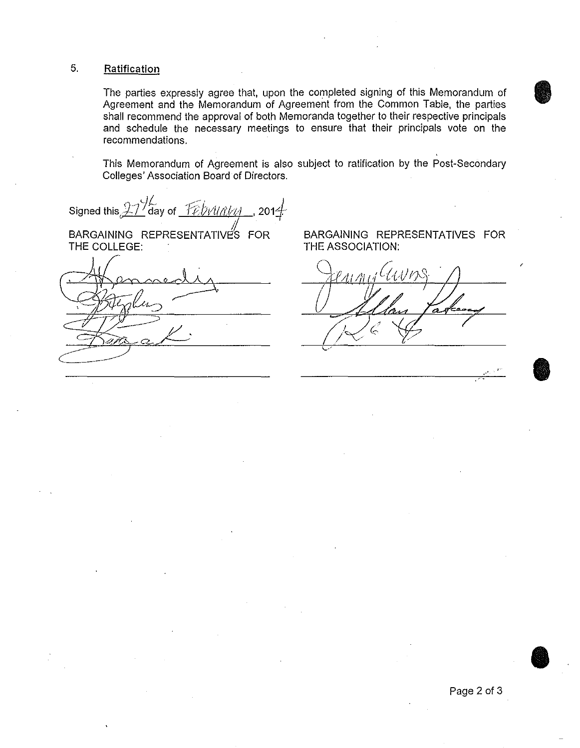### 5. Ratification

The parties expressly agree that, upon the completed signing of this Memorandum of Agreement and the Memorandum of Agreement from the Common Table, the parties shall recommend the approval of both Memoranda together to their respective principals and schedule the necessary meetings to ensure that their principals vote on the recommendations.

This Memorandum of Agreement is also subject to ratification by the Post-Secondary Colleges' Association Board of Directors.

*d[ /• )*  Signed this, $\cancel{27'}$ day of *\_Yebvurtyn\_\_*, 201 $\cancel{4}$ :

BARGAINING REPRESENTATIVES FOR THE COLLEGE:

BARGAINING REPRESENTATIVES FOR THE ASSOCIATION:

I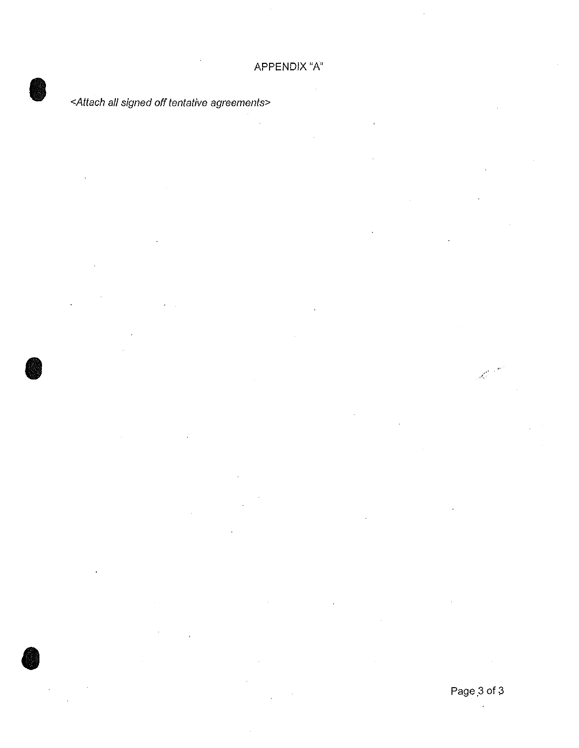# <Attach all signed off tentative agreements>

**e** 

**C** 

أمجمه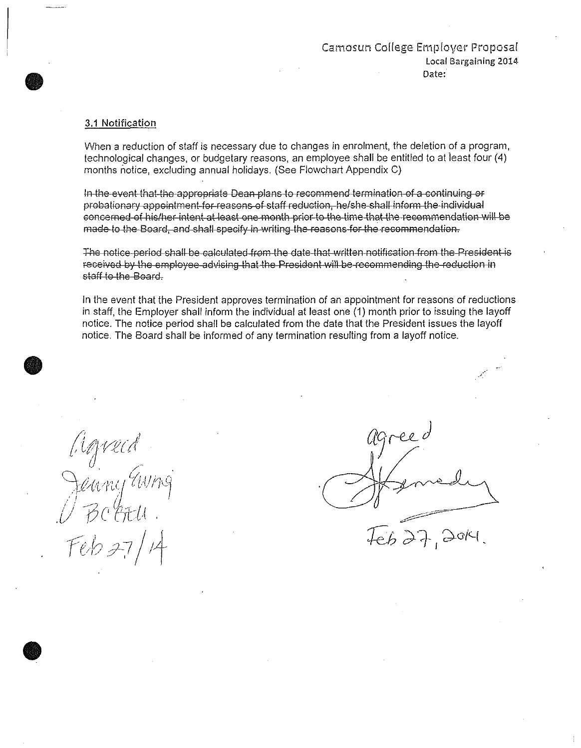### Camosun College Employer Proposal Local Bargaining 2014· Date:

#### 3.1 Notification

**•** 

**•** 

**•** 

When a reduction of staff is necessary due to changes in enrolment, the deletion of a program, technological changes, or budgetary reasons, an employee shall be entitled to at least four (4) months notice, excluding annual holidays. (See Flowchart Appendix C)

In the event that the appropriate Dean plans to recommend termination of a continuing or probationary appointment for reasons of staff reduction, helshe shall inform the individual concerned of hislher intent at least one month prior to the time that the recommendation will be made to the Board, and shall specify in writing the reasons for the recommendation.

The notice period shall be calculated from the date that written notification from the President is received by the employee advising that the President will be recommending the reduction in staff to the Soard.

In the event that the President approves termination of an appointment for reasons of reductions in staff, the Employer shall inform the individual at least one (1) month prior to issuing the layoff notice. The notice period shall be calculated from the date that the President issues the layoff notice. The Board shall be informed of any termination resulting from a layoff notice .

Agreed<br>Jeany awng  $Feb$  27/14

agreed ~ --~-=------  $\overline{z}$  $\widetilde{4eb}$  and , and .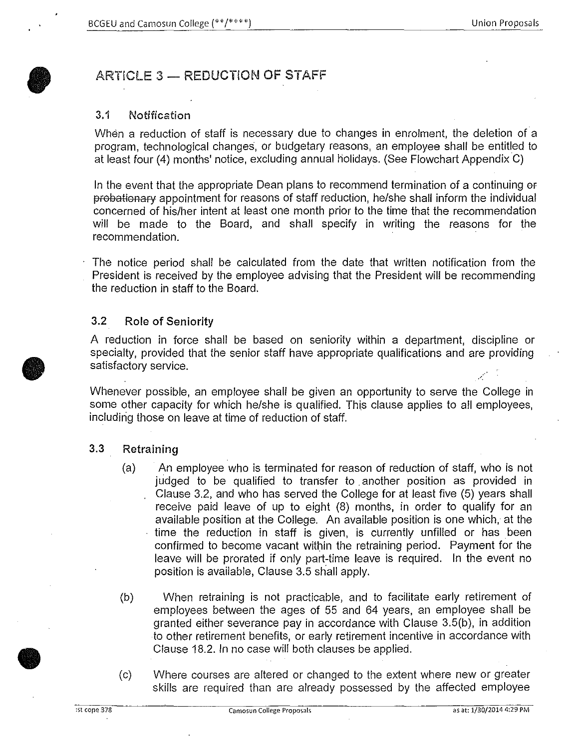# ARTICLE 3 - REDUCTION OF STAFF

### 3.1 Notification

When a reduction of staff is necessary due to changes in enrolment, the deletion of a program, technological changes, or budgetary reasons, an employee shall be entitled to at least four (4) months' notice, excluding annual holidays. (See Flowchart Appendix C)

In the event that the appropriate Dean plans to recommend termination of a continuing or probationary appointment for reasons of staff reduction, he/she shall inform the individual concerned of his/her intent at least one month prior to the time that the recommendation will be made to the Board, and shall specify in writing the reasons for the recommendation.

The notice period shall be calculated from the date that written notification from the President is received by the employee advising that the President will be recommending the reduction in staff to the Board.

#### 3.2 Role of Seniority

A reduction in force shall be based on seniority within a department, discipline or specialty, provided that the senior staff have appropriate qualifications and are providing satisfactory service.

Whenever possible, an employee shall be given an opportunity to serve the College in some other capacity for which he/she is qualified. This clause applies to all employees, including those on leave at time of reduction of staff.

### 3.3 Retraining

- (a) An employee who is terminated for reason of reduction of staff, who is not judged to be qualified to transfer to another position as provided in Clause 3.2, and who has served the College for at least five (5) years shall receive paid leave of up to eight (8) months, in order to qualify for an available position at the College. An available position is one which, at the time the reduction in staff is given, is currently unfilled or has been confirmed to become vacant within the retraining period. Payment for the leave will be prorated if only part-time leave is required. In the event no position is available, Clause 3.5 shall apply.
- (b) When retraining is not practicable, and to facilitate early retirement of employees between the ages of 55 and 64 years, an employee shall be granted either severance pay in accordance with Clause 3.5(b), in addition to other retirement benefits, or early retirement incentive in accordance with Clause 18.2. In no case will both clauses be applied .
- (c) Where courses are altered or changed to the extent where new or greater skills are required than are already possessed by the affected employee

**•** 

*.'(*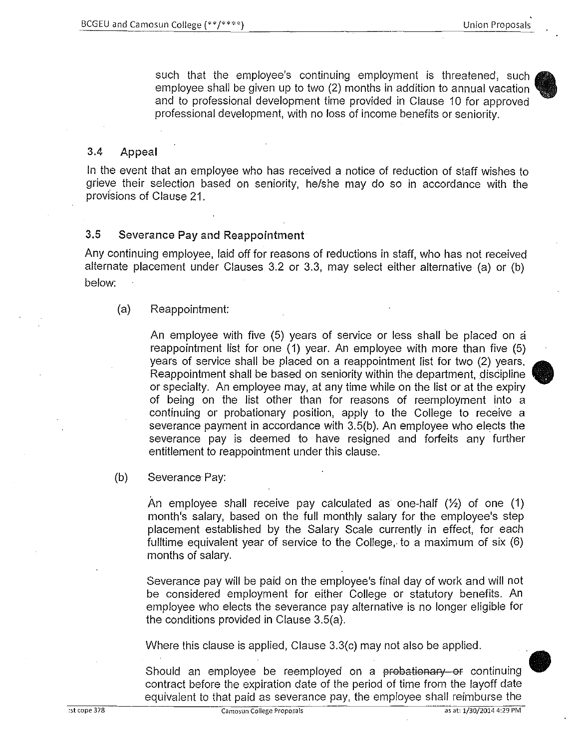such that the employee's continuing employment is threatened, such • employee shall be given up to two (2) months in addition to annual vacation and to professional development time provided in Clause 10 for approved professional development, with no loss of income benefits or seniority.

## 3.4 Appeal

In the event that an employee who has received a notice of reduction of staff wishes to grieve their selection based on seniority, he/she may do so in accordance with the provisions of Clause 21.

## 3.5 Severance Pay and Reappointment

Any continuing employee, laid off for reasons of reductions in staff, who has not received alternate placement under Clauses 3.2 or 3.3, may select either alternative (a) or (b) below:

## (a) Reappointment:

An employee with five (5) years of service or less shall be placed on a reappointment list for one (1) year. An employee with more than five (5) years of service shall be placed on a reappointment list for two (2) years. Reappointment shall be based on seniority within the department, discipline or specialty. An employee may, at any time while on the list or at the expiry of being on the list other than for reasons of reemployment into a continuing or probationary position, apply to the College to receive a severance payment in accordance with 3.5(b). An employee who elects the severance pay is deemed to have resigned and forfeits any further entitlement to reappointment under this clause.

### (b) Severance Pay:

An employee shall receive pay calculated as one-half (%) of one (1) month's salary, based on the full monthly salary for the employee's step placement established by the Salary Scale currently in effect, for each fulltime equivalent year of service to the College, to a maximum of six (6) months of salary.

Severance pay will be paid on the employee's final day of work and will not be considered employment for either College or statutory benefits. An employee who elects the severance pay alternative is no longer eligible for the conditions provided in Clause 3.5(a).

Where this clause is applied, Clause 3.3(c) may not also be applied.

Should an employee be reemployed on a probationary or continuing contract before the expiration date of the period of time from the layoff date equivalent to that paid as severance pay, the employee shall reimburse the

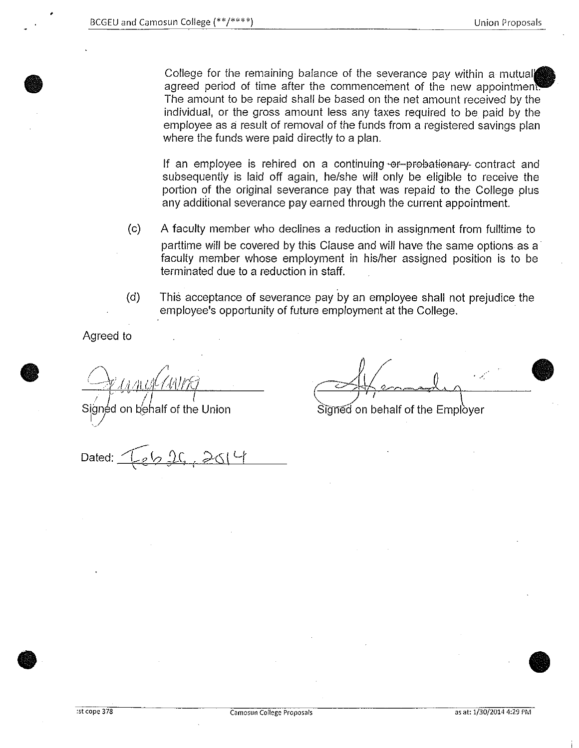College for the remaining balance of the severance pay within a mutual agreed period of time after the commencement of the new appointment The amount to be repaid shall be based on the net amount received by the individual, or the gross amount less any taxes required to be paid by the employee as a result of removal of the funds from a registered savings plan where the funds were paid directly to a plan.

If an employee is rehired on a continuing  $\cdot$ or-probationary- contract and subsequently is laid off again, he/she will only be eligible to receive the portion of the original severance pay that was repaid to the College plus any additional severance pay earned through the current appointment.

- (c) A faculty member who declines a reduction in assignment from fulltime to parttime will be covered by this Clause and will have the same options as a faculty member whose employment in his/her assigned position is to be terminated due to a reduction in staff.
- (d) This acceptance of severance pay by an employee shall not prejudice the employee's opportunity of future employment at the College.

Agreed to

**•** 

**•** 

Signed on behalf of the Union

 $\sim$  $\frac{1}{\sqrt{1 - \frac{1}{2}}\left(\frac{1}{2}\right)^2}$ 

Signed on behalf of the Employer

Dated:

• •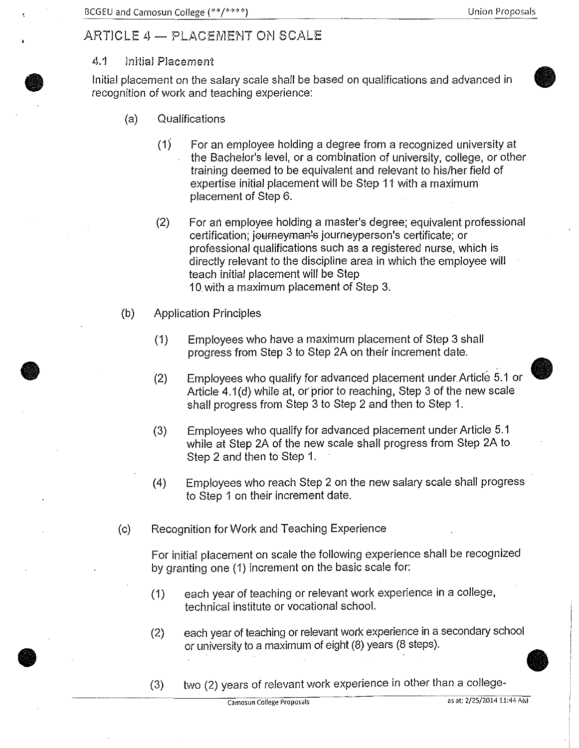$\bullet$ 

# ARTICLE 4 - PLACEMENT ON SCALE

## 4.1 Initial Placement

**•** 

**•** 

**•** 

Initial placement on the salary scale shall be based on qualifications and advanced in recognition of work and teaching experience:

- (a) Qualifications
	- (1) For an employee holding a degree from a recognized university at the Bachelor's level, or a combination of university, college, or other training deemed to be equivalent and relevant to his/her field of expertise initial placement will be Step 11 with a maximum placement of Step 6.
	- (2) For ari employee holding a master's degree; equivalent professional certification; journeyman's journeyperson's certificate; or professional qualifications such as a registered nurse, which is directly relevant to the discipline area in which the employee will teach initial placement will be Step 10 with a maximum placement of Step 3.
- (b) Application Principles
	- (1) Employees who have a maximum placement of Step 3 shall progress from Step 3 to Step 2A on their increment date.
	- (2) Employees who qualify for advanced placement under Article 5.1 or Article 4.1 (d) while at, or prior to reaching, Step 3 of the new scale shall progress from Step 3 to Step 2 and then to Step 1.
	- (3) Employees who qualify for advanced placement under Article 5.1 while at Step 2A of the new scale shall progress from Step 2A to Step 2 and then to Step 1.
	- (4) Employees who reach Step 2 on the new salary scale shall progress to Step 1 on their increment date.
- (c) Recognition for Work and Teaching Experience

For initial placement on scale the following experience shall be recognized by granting one (1) increment on the basic scale for:

- (1) each year of teaching or relevant work experience in a college, technical institute or vocational school.
- (2) each year of teaching or relevant work experience in a secondary school or university to a maximum of eight (8) years (8 steps) .
- (3) two (2) years of relevant work experience in other than a college-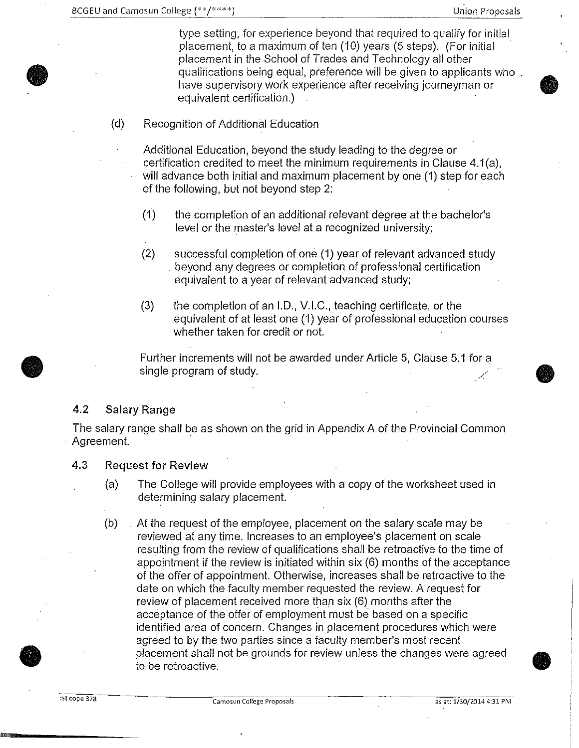$\bullet$ 

**•** 

type setting, for experience beyond that required to qualify for initial placement, to a maximum of ten (10) years (5 steps). (For initial placement in the School of Trades and Technology all other qualifications being equal, preference will be given to applicants who have supervisory work experience after receiving journeyman or equivalent certification.)

(d) Recognition of Additional Education

Additional Education, beyond the study leading to the degree or certification credited to meet the minimum requirements in Clause 4.1(a), will advance both initial and maximum placement by one (1) step for each of the following, but not beyond step 2:

- (1) the completion of an additional relevant degree at the bachelor's level or the master's level at a recognized university;
- (2) successful completion of one (1) year of relevant advanced study . beyond any degrees or completion of professional certification equivalent to a year of relevant advanced study;
- (3) the completion of an I.D., V.I.C., teaching certificate, or the equivalent of at least one (1) year of professional education courses whether taken for credit or not.

Further increments will not be awarded under Article 5, Clause 5.1 for a single program of study.

## 4.2 Salary Range

The salary range shall be as shown on the grid in Appendix A of the Provincial Common Agreement.

## 4.3 Request for Review

- (a) The College will provide employees with a copy of the worksheet used in determining salary placement.
- (b) At the request of the employee, placement on the salary scale may be reviewed at any time. Increases to an employee's placement on scale resulting from the review of qualifications shall be retroactive to the time of appointment if the review is initiated within six (6) months of the acceptance of the offer of appointment. Otherwise, increases shall be retroactive to the date on which the faculty member requested the review. A request for review of placement received more than six (6) months after the acceptance of the offer of employment must be based on a specific identified area of concern. Changes in placement procedures which were agreed to by the two parties since a faculty member's most recent placement shall not be grounds for review unless the changes were agreed to be retroactive.

**•**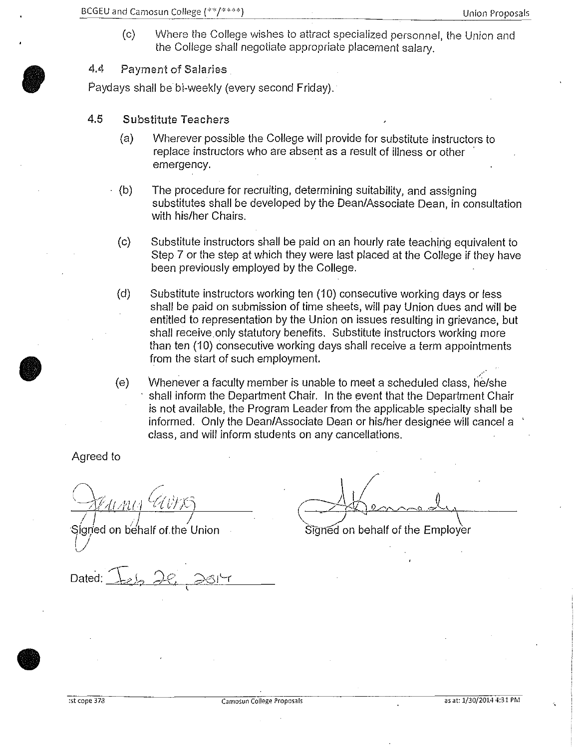(c) Where the College wishes to attract specialized personnel, the Union and the College shall negotiate appropriate placement salary.

## 4.4 Payment of Salaries

**b** 

Paydays shall be bi-weekly (every second Friday).

- 4.5 Substitute Teachers
	- (a) Wherever possible the College will provide for substitute instructors to replace instructors who are absent as a result of illness or other emergency.
	- (b) The procedure for recruiting, determining suitability, and assigning substitutes shall be developed by the Dean/Associate Dean, in consultation with his/her Chairs.
	- (c) Substitute instructors shall be paid on an hourly rate teaching equivalent to Step 7 or the step at which they were last placed at the College if they have been previously employed by the College.
	- (d) Substitute instructors working ten (10) consecutive working days or less shall be paid on submission of time sheets, will pay Union dues and will be entitled to representation by the Union on issues resulting in grievance, but shall receive.only statutory benefits. Substitute instructors working more than ten (10) consecutive working days shall receive a term appointments from the start of such employment.
	- $(e)$  Whenever a faculty member is unable to meet a scheduled class, he/she shall inform the Department Chair. In the event that the Department Chair is not available, the Program Leader from the applicable specialty shall be informed. Only the Dean/Associate Dean or his/her designee will cancel a class, and will inform students on any cancellations.

Agreed to

<u>I *i*</u> *i*<sub>l</sub> *i*<sub>l</sub> *i*<sup>l</sup> *i*</del>

Signed on behalf of the Union

 $\bigoplus$  immedy Signed on behalf of the Employer

Dated: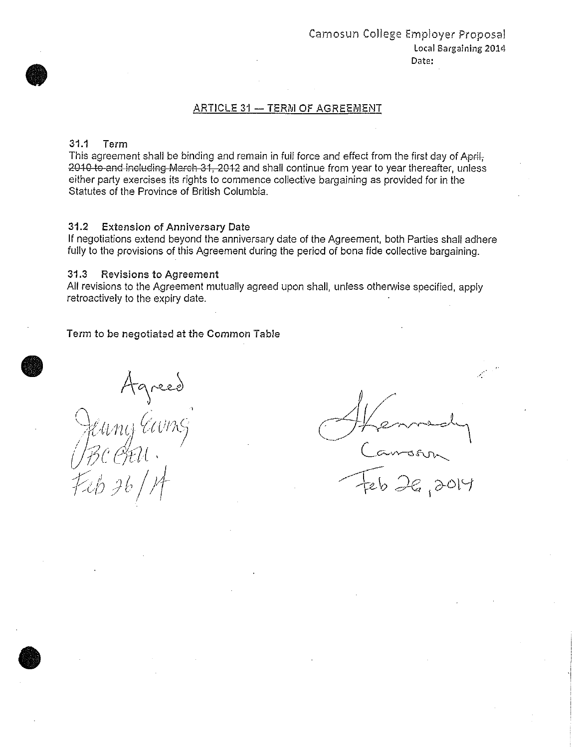#### ARTICLE 31 - TERM OF AGREEMENT

#### 31.1 Term

This agreement shall be binding and remain in full force and effect from the first day of April, 2010 to and including March 31, 2012 and shall continue from year to year thereafter, unless either party exercises its rights to commence collective bargaining as provided for in the Statutes of the Province of British Columbia.

#### 31.2 Extension of Anniversary Date

If negotiations extend beyond the anniversary date of the Agreement, both Parties shall adhere fully to the provisions of this Agreement during the period of bona fide collective bargaining.

#### 31.3 Revisions to Agreement

All revisions to the Agreement mutually agreed upon shall, unless otherwise specified, apply retroactively to the expiry date.

#### Term to be negotiated at the Common Table

Agreed<br>Eury Eurng Feb 26

 $\bigcirc$ 

( Hennedy  $Cov\sim$ ~\_; *de* I (7-6 t '-f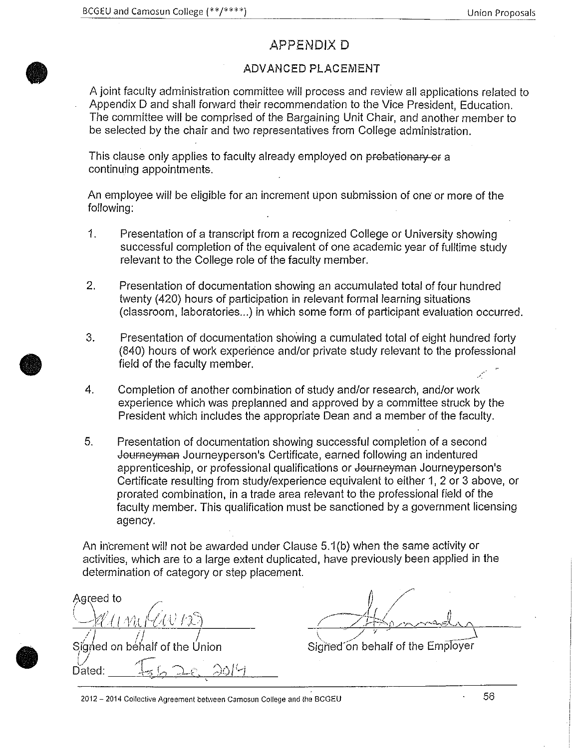## APPENDIX D

## ADVANCED PLACEMENT

A joint faculty administration committee will process and review all applications related to Appendix D and shall forward their recommendation to the Vice President, Education. The committee will be comprised of the Bargaining Unit Chair, and another member to be selected by the chair and two representatives from College administration.

This clause only applies to faculty already employed on probationary or a continuing appointments.

An employee will be eligible for an increment Upon submission of one or more of the following:

- 1. Presentation of a transcript from a recognized College or University showing successful completion of the equivalent of one academic year of fulltime study relevant to the College role of the faculty member.
- 2. Presentation of documentation showing an accumulated total of four hundred twenty (420) hours of participation in relevant formal learning situations (classroom, laboratories ... ) in which some form of participant evaluation occurred.
- 3. Presentation of documentation showing a cumulated total of eight hundred forty (840) hours of work experience and/or private study relevant to the professional field of the faculty member.
- 4. Completion of another combination of study and/or research, and/or work experience which was preplanned and approved by a committee struck by the President which includes the appropriate Dean and a member of the faculty.
- 5. Presentation of documentation showing successful completion of a second Journeyman Journeyperson's Certificate, earned following an indentured apprenticeship, or professional qualifications or Journeyman Journeyperson's Certificate resulting from study/experience equivalent to either 1, 2 or 3 above, or prorated combination, in a trade area relevant to the professional field of the faculty member. This qualification must be sanctioned by a government licensing agency.

An increment will not be awarded under Clause 5.1(b) when the same activity or activities, which are to a large extent duplicated, have previously been applied in the determination of category or step placement.

Agreed to  $\frac{1}{\sqrt{1+\cdots}}$ Signed on behalf of the Union Dated:  $I_{56}$   $2e$ ,  $2014$ 

Signed on behalf of the Employer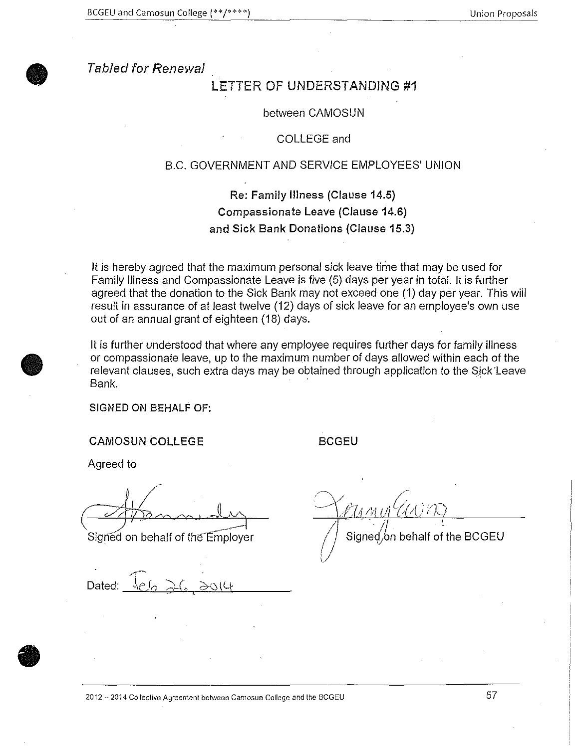

Tabled for Renewal

## LETTER OF UNDERSTANDING #1

#### between CAMOSUN

### COLLEGE and

### B.C. GOVERNMENT AND SERVICE EMPLOYEES' UNION

Re: Family Illness (Clause 14.5) Compassionate Leave (Clause 14.6) and Sick Bank Donations (Clause 15.3)

It is hereby agreed that the maximum personal sick leave time that may be used for Family Illness and Compassionate Leave is five (5) days per year in total. It is further agreed that the donation to the Sick Bank may not exceed one (1) day per year. This will result in assurance of at least twelve (12) days of sick leave for an employee's own use out of an annual grant of eighteen (18) days.

It is further understood that where any employee requires further days for family illness or compassionate leave, up to the maximum number of days allowed within each of the relevant clauses, such extra days may be obtained through application to the Sjck'Leave Bank.

SIGNED ON BEHALF OF:

CAMOSUN COLLEGE BCGEU

Agreed to

*\_)'' ,J* ---1

Dated:

 $\,$  ,  $\,$  $\sim$ 

'47VETA

Signed on behalf of the  $Employer$  / Signed on behalf of the BCGEU

 $2012 - 2014$  Collective Agreement between Camosun College and the BCGEU  $57$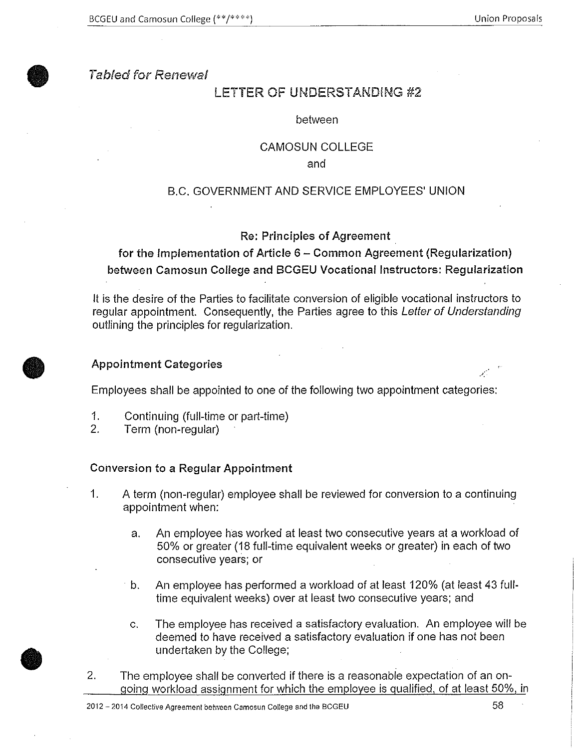

## Tabfed for Renewal

# LETTER OF UNDERSTANDING #2

### between

### CAMOSUN COLLEGE

and

## B.C. GOVERNMENT AND SERVICE EMPLOYEES' UNION

### Re: Principles of Agreement

for the Implementation of Article 6- Common Agreement (Regularization) between Camosun College and BCGEU Vocational Instructors: Regularization

It is the desire of the Parties to facilitate conversion of eligible vocational instructors to regular appointment. Consequently, the Parties agree to this Letter of Understanding outlining the principles for regularization.

### Appointment Categories

Employees shall be appointed to one of the following two appointment categories:

- 1. Continuing (full-time or part-time)
- 2. Term (non-regular)

### Conversion to a Regular Appointment

- 1. A term (non-regular) employee shall be reviewed for conversion to a continuing appointment when:
	- a. An employee has worked at least two consecutive years at a workload of 50% or greater (18 full-time equivalent weeks or greater) in each of two consecutive years; or
	- b. An employee has performed a workload of at least 120% (at least 43 fulltime equivalent weeks) over at least two consecutive years; and
	- c. The employee has received a satisfactory evaluation. An employee will be deemed to have received a satisfactory evaluation if one has not been undertaken by the College;
- 2. The employee shall be converted if there is a reasonable expectation of an ongoing workload assignment for which the employee is qualified, of at least 50%, in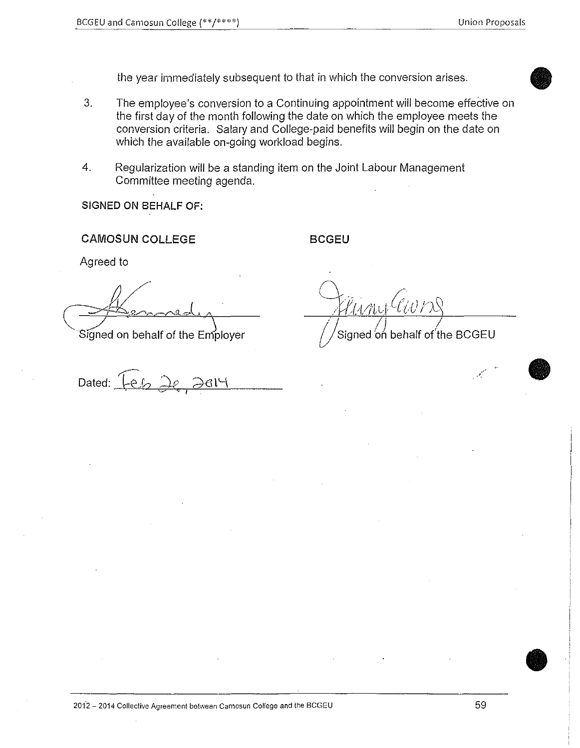the year immediately subsequent to that in which the conversion arises.

- 3. The employee's conversion to a Continuing appointment will become effective on the first day of the month following the date on which the employee meets the conversion criteria. Salary and College-paid benefits will begin on the date on which the available on-going workload begins.
- 4. Regularization will be a standing item on the Joint Labour Management Committee meeting agenda.

**SIGNED ON BEHALF OF:** 

**CAMOSUN COLLEGE BCGEU** 

Agreed to

- *<u>/Kenned ()</u>*<br>Signed on behalf of the Employer (//Signed on l

 $D$ ated:  $\widehat{Ieb}$   $\widehat{2e}$   $\widehat{2e}$   $\widehat{2e}$ 

Signed on behalf of the BCGEU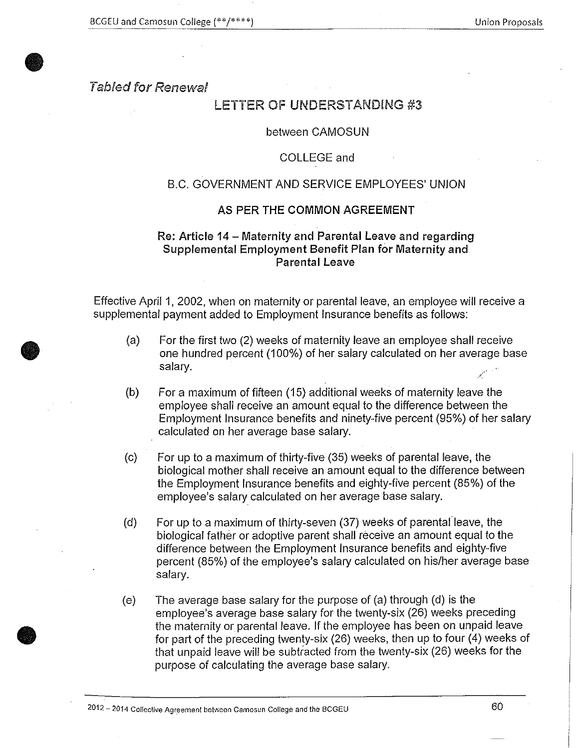## Tabled for Renewal

**•** 

**•** 

**•** 

## LETTER OF UNDERSTANDING #3

### between CAMOSUN

### COLLEGE and

## B.C. GOVERNMENT AND SERVICE EMPLOYEES' UNION

### AS PER THE COMMON AGREEMENT

## Re: Article 14- Maternity and Parental Leave and regarding Supplemental Employment Benefit Plan for Maternity and Parental Leave

Effective April 1, 2002, when on maternity or parental leave, an employee will receive a supplemental payment added to Employment Insurance benefits as follows:

- (a) For the first two (2) weeks of maternity leave an employee shall receive one hundred percent (100%) of her salary calculated on her average base  $s$ alary.  $\mathcal{L}^{(n)}$  is a set of  $\mathcal{L}^{(n)}$  is a set of  $\mathcal{L}^{(n)}$  is a set of  $\mathcal{L}^{(n)}$
- (b) For a maximum of fifteen (15) additional weeks of maternity leave the employee shall receive an amount equal to the difference between the Employment Insurance benefits and ninety-five percent (95%) of her salary calculated on her average base salary.
- (c) For up to a maximum of thirty-five (35) weeks of parental leave, the biological mother shall receive an amount equal to the difference between the Employment Insurance benefits and eighty-five percent (85%) of the employee's salary calculated on her average base salary.
- (d) For up to a maximum of thirty-seven (37) weeks of parental leave, the biological father or adoptive parent shall receive an amount equal to the difference between the Employment Insurance benefits and eighty-five percent (85%) of the employee's salary calculated on his/her average base salary.
- (e) The average base salary for the purpose of (a) through (d) is the employee's average base salary for the twenty-six (26) weeks preceding the maternity or parental leave. If the employee has been on unpaid leave for part of the preceding twenty-six (26) weeks, then up to four (4) weeks of that unpaid leave will be subtracted from the twenty-six (26) weeks for the purpose of calculating the average base salary.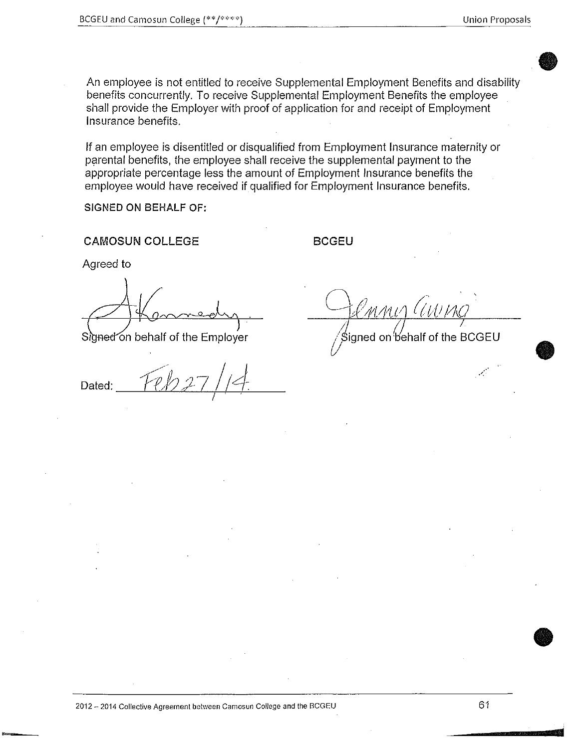**•** 

**0** 

**•** 

An employee is not entitled to receive Supplemental Employment Benefits and disability benefits concurrently. To receive Supplemental Employment Benefits the employee shall provide the Employer with proof of application for and receipt of Employment Insurance benefits.

If an employee is disentitled or disqualified from Employment Insurance maternity or parental benefits, the employee shall receive the supplemental payment to the appropriate percentage less the amount of Employment Insurance benefits the employee would have received if qualified for Employment Insurance benefits.

**SIGNED ON BEHALF OF:** 

**CAMOSUN COLLEGE BCGEU** 

Agreed to

Signed on behalf of the Employer

Dated: I

'mmis (UI) *.1/. /}* <sup>I</sup>

 $\sqrt{\beta}$ Signed on behalf of the BCGEU

**2012 - 2014 Collective Agreement between Camosun College and the BCGEU** 61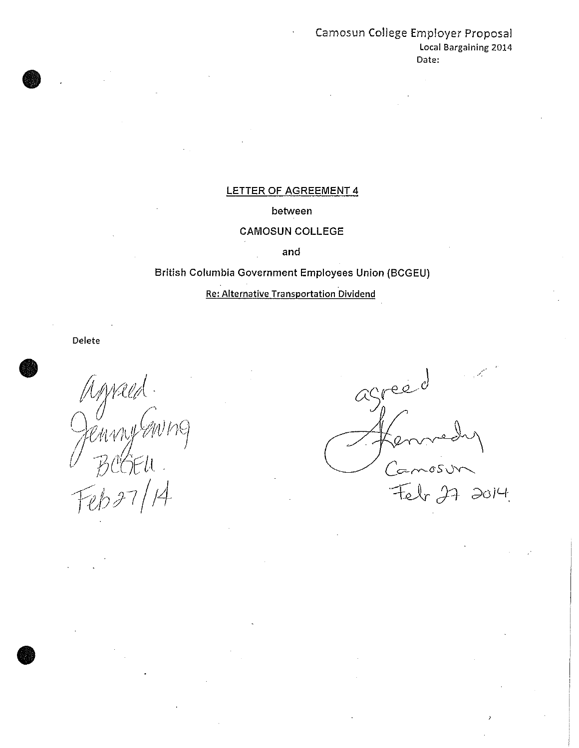## Camosun College Employer Proposal Local Bargaining 2014 Date:

## LETTER OF AGREEMENT 4

### between

## CAMOSUN COLLEGE

and

## British Columbia Government Employees Union (BCGEU)

## Re: Alternative Transportation Dividend

Delete

**•** 

**•** 

 $\bullet$ 

enny!  $Feb37/14$ 

greè  $\alpha$  $\int$  $-051$  $272014$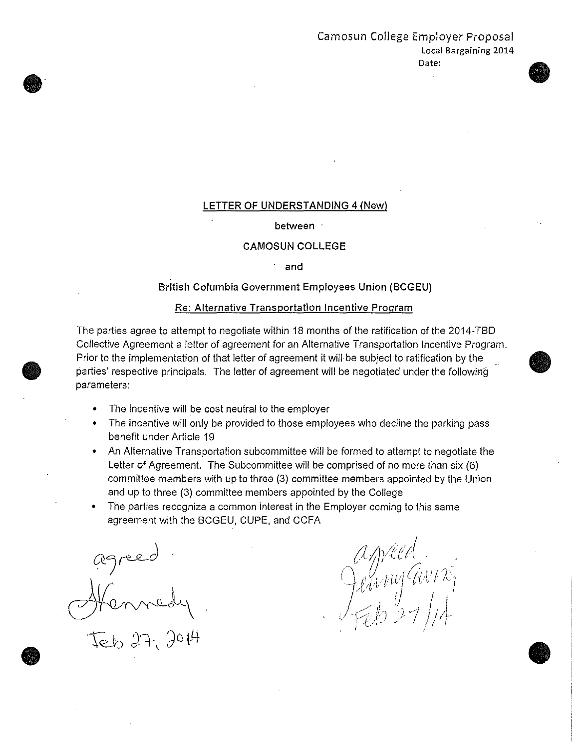# Camosun College Employer Proposal Local Bargaining 2014

#### Date:

 $\bullet$ 

### LETTER OF UNDERSTANDING 4 (New)

#### between ·

#### CAMOSUN COLLEGE

· and

#### British Columbia Government Employees Union (BCGEU)

#### Re: Alternative Transportation Incentive Program

The parties agree to attempt to negotiate within 18 months of the ratification of the 2014-TBD Collective Agreement a letter of agreement for an Alternative Transportation Incentive Program. Prior to the implementation of that letter of agreement it will be subject to ratification by the parties' respective principals. The letter of agreement will be negotiated under the following parameters:

- The incentive will be cost neutral to the employer
- The incentive will only be provided to those employees who decline the parking pass benefit under Article 19
- An Alternative Transportation subcommittee Will be formed to attempt to negotiate the Letter of Agreement. The Subcommittee will be comprised of no more than six (6) committee members with up to three (3) committee members appointed by the Union and up to three (3) committee members appointed by the College
- The parties recognize a common interest in the Employer coming to this same agreement with the BCGEU, CUPE, and CCFA

agreed Hennedy  $27,204$ 

 $\bullet$ 

 $\bullet$ 

**•** 

ameed . / - • ·~ r J • \_.--. ',~: '7 · [;i·c ' · .. , . I' '. ; t.'. <sup>J</sup>i G.vt " *i* J'- : '.·  $\eta = \ell$ *:* ~c \_/. .... ---:\_ .. ,-. r)J C) -'7' ;' 1 I n~- ,I .. \_ c·- . • <sup>1</sup>, • <sup>~</sup>  $\sim_{\ell}$  / // //4